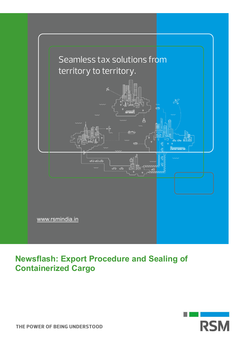

## **Newsflash: Export Procedure and Sealing of Containerized Cargo**

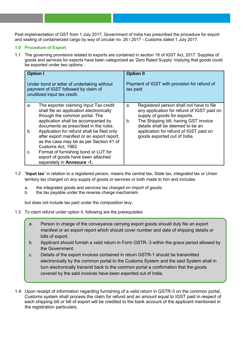Post implementation of GST from 1 July 2017, Government of India has prescribed the procedure for export and sealing of containerized cargo by way of circular no. 26 / 2017 - Customs dated 1 July 2017.

## **1.0 Procedure of Export**

1.1 The governing provisions related to exports are contained in section 16 of IGST Act, 2017. Supplies of goods and services for exports have been categorized as 'Zero Rated Supply' implying that goods could be exported under two options :

| <b>Option I</b>                                                                                                                                                                                                                                                                                                                                                                                                                                                                                 | <b>Option II</b>                                                                                                                                                                                                                                                                          |
|-------------------------------------------------------------------------------------------------------------------------------------------------------------------------------------------------------------------------------------------------------------------------------------------------------------------------------------------------------------------------------------------------------------------------------------------------------------------------------------------------|-------------------------------------------------------------------------------------------------------------------------------------------------------------------------------------------------------------------------------------------------------------------------------------------|
| Under bond or letter of undertaking without<br>payment of IGST followed by claim of<br>unutilized input tax credit.                                                                                                                                                                                                                                                                                                                                                                             | Payment of IGST with provision for refund of<br>tax paid                                                                                                                                                                                                                                  |
| The exporter claiming Input Tax credit<br>a.<br>shall file an application electronically<br>through the common portal. The<br>application shall be accompanied by<br>documents as prescribed in the rules.<br>Application for refund shall be filed only<br>b.<br>after export manifest or an export report,<br>as the case may be as per Section 41 of<br>Customs Act, 1962.<br>Format of furnishing bond or LUT for<br>C.<br>export of goods have been attached<br>separately in Annexure -1. | Registered person shall not have to file<br>a.<br>any application for refund of IGST paid on<br>supply of goods for exports.<br>The Shipping bill, having GST invoice<br>b.<br>details shall be deemed to be an<br>application for refund of IGST paid on<br>goods exported out of India. |

- 1.2 "**Input tax**" in relation to a registered person, means the central tax, State tax, integrated tax or Union territory tax charged on any supply of goods or services or both made to him and includes
	- a. the integrated goods and services tax charged on import of goods;
	- b. the tax payable under the reverse charge mechanism.

but does not include tax paid under the composition levy.

- 1.3 To claim refund under option II, following are the prerequisites
	- a. Person in charge of the conveyance carrying export goods should duly file an export manifest or an export report which should cover number and date of shipping details or bills of export.
	- b. Applicant should furnish a valid return in Form GSTR- 3 within the grace period allowed by the Government.
	- c. Details of the export invoices contained in return GSTR-1 should be transmitted electronically by the common portal to the Customs System and the said System shall in turn electronically transmit back to the common portal a confirmation that the goods covered by the said invoices have been exported out of India.
- 1.4 Upon receipt of information regarding furnishing of a valid return in GSTR-3 on the common portal, Customs system shall process the claim for refund and an amount equal to IGST paid in respect of each shipping bill or bill of export will be credited to the bank account of the applicant mentioned in the registration particulars.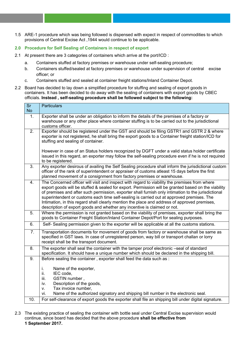1.5 ARE-1 procedure which was being followed is dispensed with expect in respect of commodities to which provisions of Central Excise Act ,1944 would continue to be applicable.

## **2.0 Procedure for Self Sealing of Containers in respect of export**

- 2.1 At present there are 3 categories of containers which arrive at the port/ICD :
	- a. Containers stuffed at factory premises or warehouse under self-sealing procedure;
	- b. Containers stuffed/sealed at factory premises or warehouse under supervision of central excise officer; or
	- c. Containers stuffed and sealed at container freight stations/Inland Container Depot.
- 2.2 Board has decided to lay down a simplified procedure for stuffing and sealing of export goods in containers. It has been decided to do away with the sealing of containers with export goods by CBEC officials. **Instead , self-sealing procedure shall be followed subject to the following:**

| $\overline{\text{Sr}}$<br><b>No</b> | <b>Particulars</b>                                                                                                                                                                                                                                                                                                                                                                                                                                                                                                                                                                   |
|-------------------------------------|--------------------------------------------------------------------------------------------------------------------------------------------------------------------------------------------------------------------------------------------------------------------------------------------------------------------------------------------------------------------------------------------------------------------------------------------------------------------------------------------------------------------------------------------------------------------------------------|
| 1.                                  | Exporter shall be under an obligation to inform the details of the premises of a factory or<br>warehouse or any other place where container stuffing is to be carried out to the jurisdictional<br>customs officer.                                                                                                                                                                                                                                                                                                                                                                  |
| $\overline{2}$ .                    | Exporter should be registered under the GST and should be filing GSTR1 and GSTR 2 & where<br>exporter is not registered, he shall bring the export goods to a Container freight station/ICD for<br>stuffing and sealing of container.                                                                                                                                                                                                                                                                                                                                                |
|                                     | However in case of an Status holders recognized by DGFT under a valid status holder certificate<br>issued in this regard, an exporter may follow the self-sealing procedure even if he is not required<br>to be registered.                                                                                                                                                                                                                                                                                                                                                          |
| 3.                                  | Any exporter desirous of availing the Self Sealing procedure shall inform the jurisdictional custom<br>officer of the rank of superintendent or appraiser of customs atleast 15 days before the first<br>planned movement of a consignment from factory premises or warehouse.                                                                                                                                                                                                                                                                                                       |
| 4.                                  | The Concerned officer will visit and inspect with regard to viability the premises from where<br>export goods will be stuffed & sealed for export. Permission will be granted based on the viability<br>of premises and after such permission, exporter shall furnish only intimation to the jurisdictional<br>superintendent or customs each time self-sealing is carried out at approved premises. The<br>Intimation, in this regard shall clearly mention the place and address of approved premises,<br>description of export goods and whether any incentive is claimed or not. |
| $\overline{5}$ .                    | Where the permission is not granted based on the viability of premises, exporter shall bring the<br>goods to Container Freight Station/Inland Container Depot/Port for sealing purposes.                                                                                                                                                                                                                                                                                                                                                                                             |
| 6.                                  | Self- Sealing permission given to the exporter will be applicable at all the customs stations.                                                                                                                                                                                                                                                                                                                                                                                                                                                                                       |
| 7.                                  | Transportation documents for movement of goods from factory or warehouse shall be same as<br>specified in GST laws. In case of unregistered person, way bill or transport challan or lorry<br>receipt shall be the transport document.                                                                                                                                                                                                                                                                                                                                               |
| 8.                                  | The exporter shall seal the container with the tamper proof electronic -seal of standard<br>specification. It should have a unique number which should be declared in the shipping bill.                                                                                                                                                                                                                                                                                                                                                                                             |
| $\overline{9}$ .                    | Before sealing the container, exporter shall feed the data such as :                                                                                                                                                                                                                                                                                                                                                                                                                                                                                                                 |
|                                     | i.<br>Name of the exporter,<br>IEC code,<br>ii.<br>GSTIN number,<br>iii.<br>Description of the goods,<br>iv.<br>Tax invoice number,<br>V.<br>Name of the authorized signatory and shipping bill number in the electronic seal.<br>vi.                                                                                                                                                                                                                                                                                                                                                |
| 10.                                 | For self-clearance of export goods the exporter shall file an shipping bill under digital signature.                                                                                                                                                                                                                                                                                                                                                                                                                                                                                 |

2.3 The existing practice of sealing the container with bottle seal under Central Excise supervision would continue, since board has decided that the above procedure **shall be effective from 1 September 2017.**